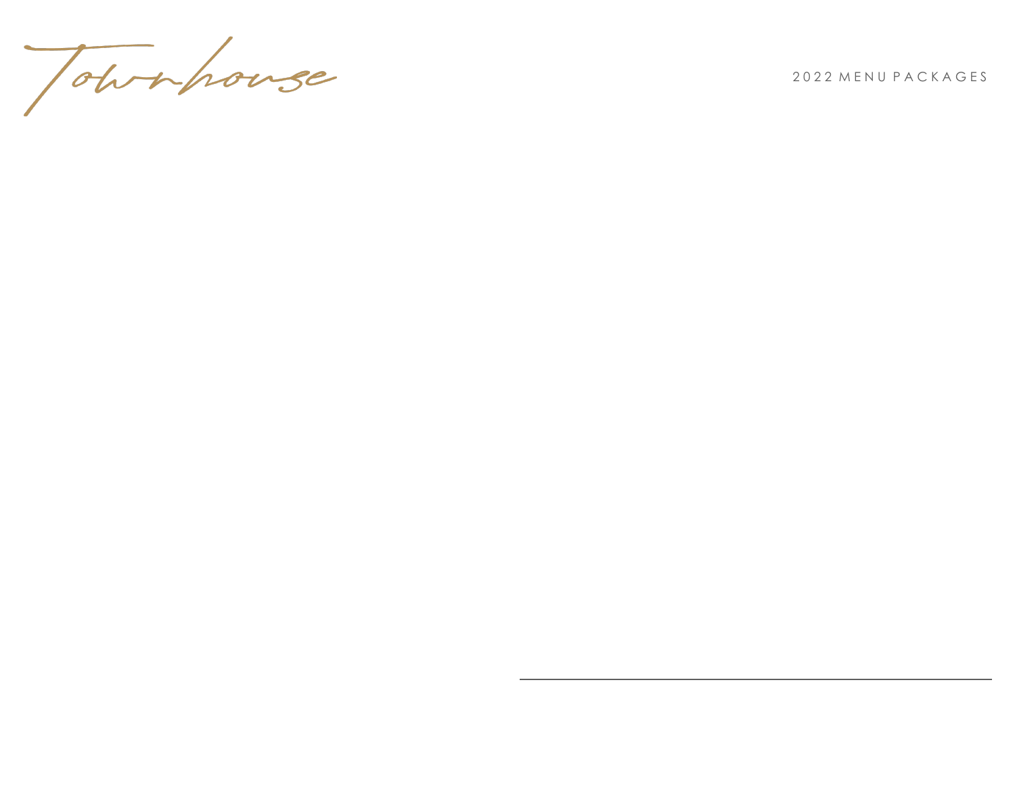Townpowse

2 0 2 2 M E N U P A C K A G E S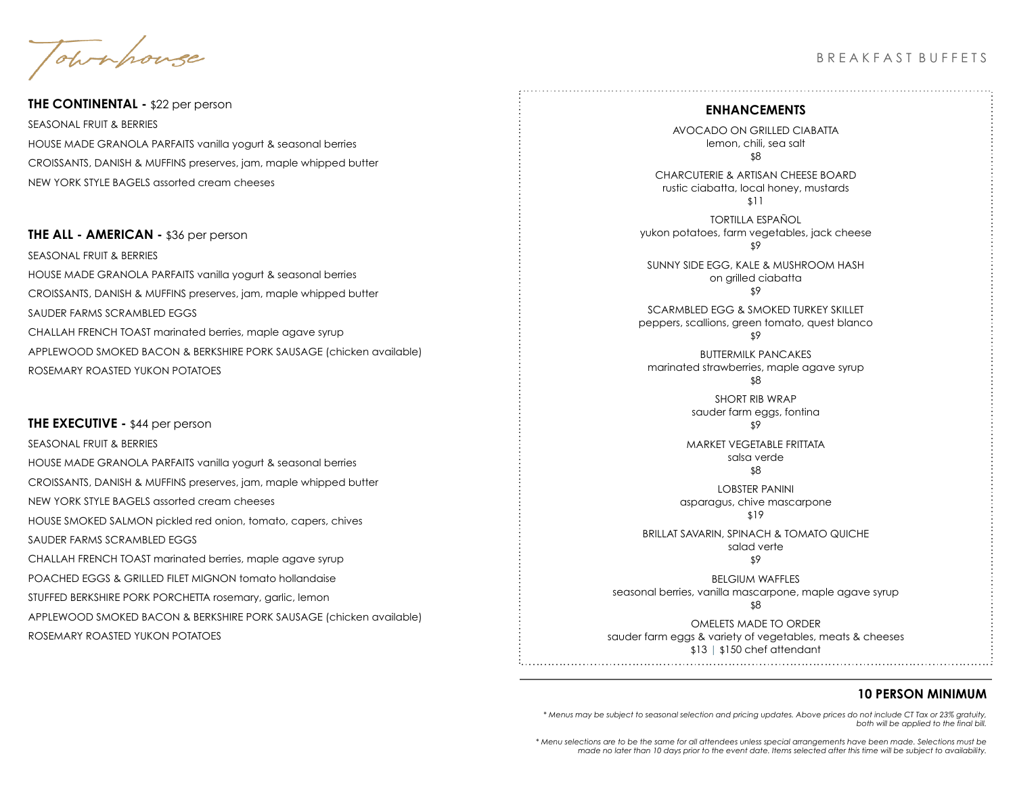Townhouse

# **THE CONTINENTAL -** \$22 per person SEASONAL FRUIT & BERRIES HOUSE MADE GRANOLA PARFAITS vanilla yogurt & seasonal berries CROISSANTS, DANISH & MUFFINS preserves, jam, maple whipped butter NEW YORK STYLE BAGELS assorted cream cheeses

#### **THE ALL - AMERICAN - \$36 per person**

SEASONAL FRUIT & BERRIES HOUSE MADE GRANOLA PARFAITS vanilla yogurt & seasonal berries CROISSANTS, DANISH & MUFFINS preserves, jam, maple whipped butter SAUDER FARMS SCRAMBLED EGGS CHALLAH FRENCH TOAST marinated berries, maple agave syrup APPLEWOOD SMOKED BACON & BERKSHIRE PORK SAUSAGE (chicken available) ROSEMARY ROASTED YUKON POTATOES

#### **THE EXECUTIVE -** \$44 per person

SEASONAL FRUIT & BERRIES HOUSE MADE GRANOLA PARFAITS vanilla yogurt & seasonal berries CROISSANTS, DANISH & MUFFINS preserves, jam, maple whipped butter NEW YORK STYLE BAGELS assorted cream cheeses HOUSE SMOKED SALMON pickled red onion, tomato, capers, chives SAUDER FARMS SCRAMBLED EGGS CHALLAH FRENCH TOAST marinated berries, maple agave syrup POACHED EGGS & GRILLED FILET MIGNON tomato hollandaise STUFFED BERKSHIRE PORK PORCHETTA rosemary, garlic, lemon APPLEWOOD SMOKED BACON & BERKSHIRE PORK SAUSAGE (chicken available) ROSEMARY ROASTED YUKON POTATOES

# B R E A K F A S T B U F F E T S

# **ENHANCEMENTS**

AVOCADO ON GRILLED CIABATTA lemon, chili, sea salt \$8

CHARCUTERIE & ARTISAN CHEESE BOARD rustic ciabatta, local honey, mustards \$11

TORTILLA ESPAÑOL yukon potatoes, farm vegetables, jack cheese \$9

SUNNY SIDE EGG, KALE & MUSHROOM HASH on grilled ciabatta

\$9

SCARMBLED EGG & SMOKED TURKEY SKILLET peppers, scallions, green tomato, quest blanco \$9

BUTTERMILK PANCAKES marinated strawberries, maple agave syrup \$8

> SHORT RIB WRAP sauder farm eggs, fontina \$9

MARKET VEGETABLE FRITTATA salsa verde \$8

LOBSTER PANINI asparagus, chive mascarpone \$19

BRILLAT SAVARIN, SPINACH & TOMATO QUICHE salad verte \$9

BELGIUM WAFFLES seasonal berries, vanilla mascarpone, maple agave syrup

\$8

OMELETS MADE TO ORDER sauder farm eggs & variety of vegetables, meats & cheeses \$13 | \$150 chef attendant

# **10 PERSON MINIMUM**

*\* Menus may be subject to seasonal selection and pricing updates. Above prices do not include CT Tax or 23% gratuity, both will be applied to the final bill.*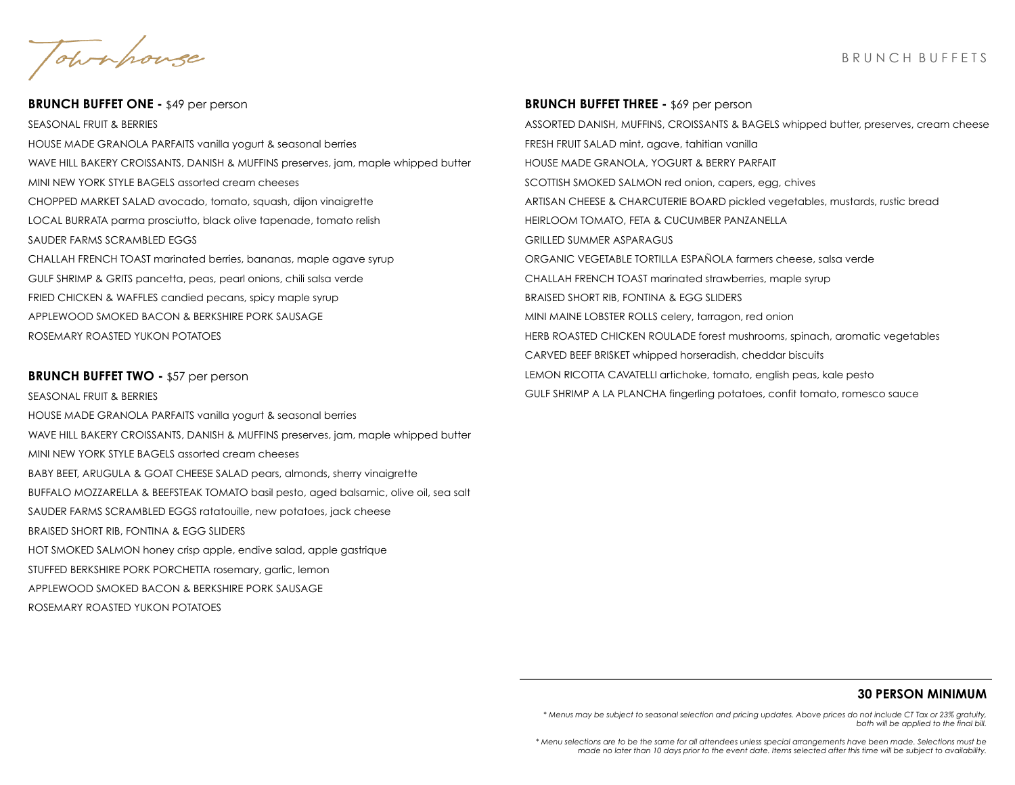B R U N C H B U F F E T S

Townhouse

**BRUNCH BUFFET ONE -** \$49 per person SEASONAL FRUIT & BERRIES HOUSE MADE GRANOLA PARFAITS vanilla yogurt & seasonal berries WAVE HILL BAKERY CROISSANTS, DANISH & MUFFINS preserves, jam, maple whipped butter MINI NEW YORK STYLE BAGELS assorted cream cheeses CHOPPED MARKET SALAD avocado, tomato, squash, dijon vinaigrette LOCAL BURRATA parma prosciutto, black olive tapenade, tomato relish SAUDER FARMS SCRAMBLED EGGS CHALLAH FRENCH TOAST marinated berries, bananas, maple agave syrup GULF SHRIMP & GRITS pancetta, peas, pearl onions, chili salsa verde FRIED CHICKEN & WAFFLES candied pecans, spicy maple syrup APPLEWOOD SMOKED BACON & BERKSHIRE PORK SAUSAGE ROSEMARY ROASTED YUKON POTATOES

#### **BRUNCH BUFFET TWO - \$57 per person**

SEASONAL FRUIT & BERRIES HOUSE MADE GRANOLA PARFAITS vanilla yogurt & seasonal berries WAVE HILL BAKERY CROISSANTS, DANISH & MUFFINS preserves, jam, maple whipped butter MINI NEW YORK STYLE BAGELS assorted cream cheeses BABY BEET, ARUGULA & GOAT CHEESE SALAD pears, almonds, sherry vinaigrette BUFFALO MOZZARELLA & BEEFSTEAK TOMATO basil pesto, aged balsamic, olive oil, sea salt SAUDER FARMS SCRAMBLED EGGS ratatouille, new potatoes, jack cheese BRAISED SHORT RIB, FONTINA & EGG SLIDERS HOT SMOKED SALMON honey crisp apple, endive salad, apple gastrique STUFFED BERKSHIRE PORK PORCHETTA rosemary, garlic, lemon APPLEWOOD SMOKED BACON & BERKSHIRE PORK SAUSAGE ROSEMARY ROASTED YUKON POTATOES

#### **BRUNCH BUFFET THREE -** \$69 per person

ASSORTED DANISH, MUFFINS, CROISSANTS & BAGELS whipped butter, preserves, cream cheese FRESH FRUIT SALAD mint, agave, tahitian vanilla HOUSE MADE GRANOLA, YOGURT & BERRY PARFAIT SCOTTISH SMOKED SALMON red onion, capers, egg, chives ARTISAN CHEESE & CHARCUTERIE BOARD pickled vegetables, mustards, rustic bread HEIRLOOM TOMATO, FETA & CUCUMBER PANZANELLA GRILLED SUMMER ASPARAGUS ORGANIC VEGETABLE TORTILLA ESPAÑOLA farmers cheese, salsa verde CHALLAH FRENCH TOAST marinated strawberries, maple syrup BRAISED SHORT RIB, FONTINA & EGG SLIDERS MINI MAINE LOBSTER ROLLS celery, tarragon, red onion HERB ROASTED CHICKEN ROULADE forest mushrooms, spinach, aromatic vegetables CARVED BEEF BRISKET whipped horseradish, cheddar biscuits LEMON RICOTTA CAVATELLI artichoke, tomato, english peas, kale pesto GULF SHRIMP A LA PLANCHA fingerling potatoes, confit tomato, romesco sauce

#### **30 PERSON MINIMUM**

*\* Menus may be subject to seasonal selection and pricing updates. Above prices do not include CT Tax or 23% gratuity, both will be applied to the final bill.*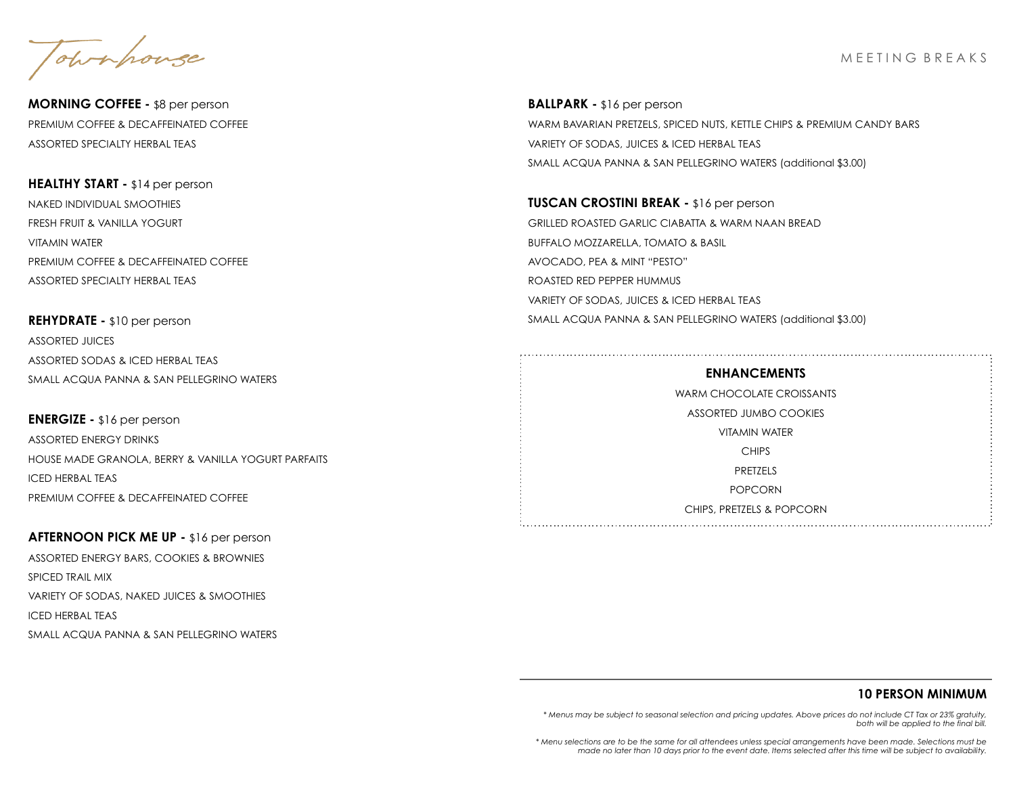M F F T I N G B R F A K S

Townhouse

**MORNING COFFEE -** \$8 per person PREMIUM COFFEE & DECAFFEINATED COFFEE ASSORTED SPECIALTY HERBAL TEAS

**HEALTHY START -** \$14 per person NAKED INDIVIDUAL SMOOTHIES FRESH FRUIT & VANILLA YOGURT VITAMIN WATER PREMIUM COFFEE & DECAFFEINATED COFFEE ASSORTED SPECIALTY HERBAL TEAS

**REHYDRATE -** \$10 per person ASSORTED JUICES ASSORTED SODAS & ICED HERBAL TEAS SMALL ACQUA PANNA & SAN PELLEGRINO WATERS

**ENERGIZE -** \$16 per person ASSORTED ENERGY DRINKS HOUSE MADE GRANOLA, BERRY & VANILLA YOGURT PARFAITS ICED HERBAL TEAS PREMIUM COFFEE & DECAFFEINATED COFFEE

**AFTERNOON PICK ME UP -** \$16 per person ASSORTED ENERGY BARS, COOKIES & BROWNIES SPICED TRAIL MIX VARIETY OF SODAS, NAKED JUICES & SMOOTHIES ICED HERBAL TEAS SMALL ACQUA PANNA & SAN PELLEGRINO WATERS **BALLPARK -** \$16 per person WARM BAVARIAN PRETZELS, SPICED NUTS, KETTLE CHIPS & PREMIUM CANDY BARS VARIETY OF SODAS, JUICES & ICED HERBAL TEAS SMALL ACQUA PANNA & SAN PELLEGRINO WATERS (additional \$3.00)

**TUSCAN CROSTINI BREAK -** \$16 per person GRILLED ROASTED GARLIC CIABATTA & WARM NAAN BREAD BUFFALO MOZZARELLA, TOMATO & BASIL AVOCADO, PEA & MINT "PESTO" ROASTED RED PEPPER HUMMUS VARIETY OF SODAS, JUICES & ICED HERBAL TEAS SMALL ACQUA PANNA & SAN PELLEGRINO WATERS (additional \$3.00)

# **ENHANCEMENTS**

WARM CHOCOLATE CROISSANTS ASSORTED JUMBO COOKIES VITAMIN WATER **CHIPS** PRETZELS POPCORN CHIPS, PRETZELS & POPCORN

# **10 PERSON MINIMUM**

*\* Menus may be subject to seasonal selection and pricing updates. Above prices do not include CT Tax or 23% gratuity, both will be applied to the final bill.*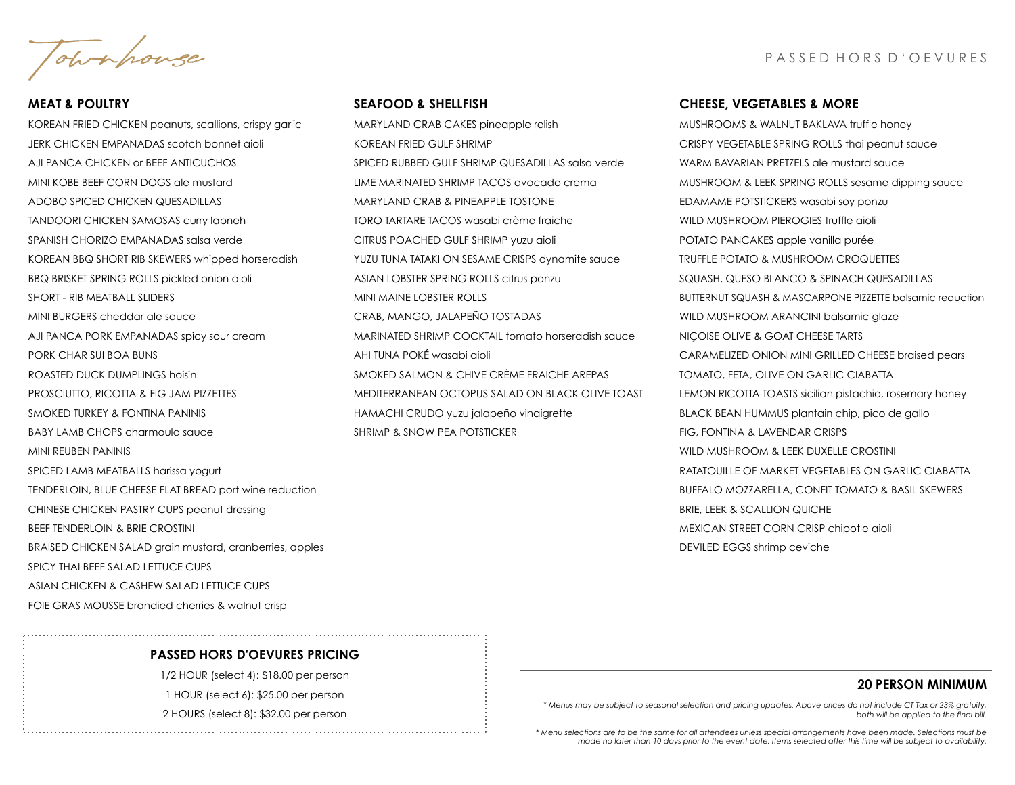Townhouse

### **MEAT & POULTRY**

KOREAN FRIED CHICKEN peanuts, scallions, crispy garlic JERK CHICKEN EMPANADAS scotch bonnet aioli AJI PANCA CHICKEN or BEEF ANTICUCHOS MINI KOBE BEEF CORN DOGS ale mustard ADOBO SPICED CHICKEN QUESADILLAS TANDOORI CHICKEN SAMOSAS curry labneh SPANISH CHORIZO EMPANADAS salsa verde KOREAN BBQ SHORT RIB SKEWERS whipped horseradish BBQ BRISKET SPRING ROLLS pickled onion aioli SHORT - RIB MEATBALL SLIDERS MINI BURGERS cheddar ale sauce AJI PANCA PORK EMPANADAS spicy sour cream PORK CHAR SUI BOA BUNS ROASTED DUCK DUMPLINGS hoisin PROSCIUTTO, RICOTTA & FIG JAM PIZZETTES SMOKED TURKEY & FONTINA PANINIS BABY LAMB CHOPS charmoula sauce MINI REUBEN PANINIS SPICED LAMB MEATBALLS harissa yogurt TENDERLOIN, BLUE CHEESE FLAT BREAD port wine reduction CHINESE CHICKEN PASTRY CUPS peanut dressing BEEF TENDERLOIN & BRIE CROSTINI BRAISED CHICKEN SALAD grain mustard, cranberries, apples SPICY THAI BEEF SALAD LETTUCE CUPS ASIAN CHICKEN & CASHEW SALAD LETTUCE CUPS FOIE GRAS MOUSSE brandied cherries & walnut crisp

# **SEAFOOD & SHELLFISH**

MARYLAND CRAB CAKES pineapple relish KOREAN FRIED GULF SHRIMP SPICED RUBBED GULF SHRIMP QUESADILLAS salsa verde LIME MARINATED SHRIMP TACOS avocado crema MARYLAND CRAB & PINEAPPLE TOSTONE TORO TARTARE TACOS wasabi crème fraiche CITRUS POACHED GULF SHRIMP yuzu aioli YUZU TUNA TATAKI ON SESAME CRISPS dynamite sauce ASIAN LOBSTER SPRING ROLLS citrus ponzu MINI MAINE LOBSTER ROLLS CRAB, MANGO, JALAPEÑO TOSTADAS MARINATED SHRIMP COCKTAIL tomato horseradish sauce AHI TUNA POKÉ wasabi aioli SMOKED SALMON & CHIVE CRÈME FRAICHE AREPAS MEDITERRANEAN OCTOPUS SALAD ON BLACK OLIVE TOAST HAMACHI CRUDO yuzu jalapeño vinaigrette SHRIMP & SNOW PEA POTSTICKER

#### **CHEESE, VEGETABLES & MORE**

MUSHROOMS & WALNUT BAKLAVA truffle honey CRISPY VEGETABLE SPRING ROLLS thai peanut sauce WARM BAVARIAN PRETZELS ale mustard sauce MUSHROOM & LEEK SPRING ROLLS sesame dipping sauce EDAMAME POTSTICKERS wasabi soy ponzu WILD MUSHROOM PIEROGIES truffle aioli POTATO PANCAKES apple vanilla purée TRUFFLE POTATO & MUSHROOM CROQUETTES SQUASH, QUESO BLANCO & SPINACH QUESADILLAS BUTTERNUT SQUASH & MASCARPONE PIZZETTE balsamic reduction WILD MUSHROOM ARANCINI balsamic glaze NIÇOISE OLIVE & GOAT CHEESE TARTS CARAMELIZED ONION MINI GRILLED CHEESE braised pears TOMATO, FETA, OLIVE ON GARLIC CIABATTA LEMON RICOTTA TOASTS sicilian pistachio, rosemary honey BLACK BEAN HUMMUS plantain chip, pico de gallo FIG, FONTINA & LAVENDAR CRISPS WILD MUSHROOM & LEEK DUXELLE CROSTINI RATATOUILLE OF MARKET VEGETABLES ON GARLIC CIABATTA BUFFALO MOZZARELLA, CONFIT TOMATO & BASIL SKEWERS BRIE, LEEK & SCALLION QUICHE MEXICAN STREET CORN CRISP chipotle aioli DEVILED EGGS shrimp ceviche

## **PASSED HORS D'OEVURES PRICING**

1/2 HOUR (select 4): \$18.00 per person 1 HOUR (select 6): \$25.00 per person 2 HOURS (select 8): \$32.00 per person

# **20 PERSON MINIMUM**

*\* Menus may be subject to seasonal selection and pricing updates. Above prices do not include CT Tax or 23% gratuity, both will be applied to the final bill.*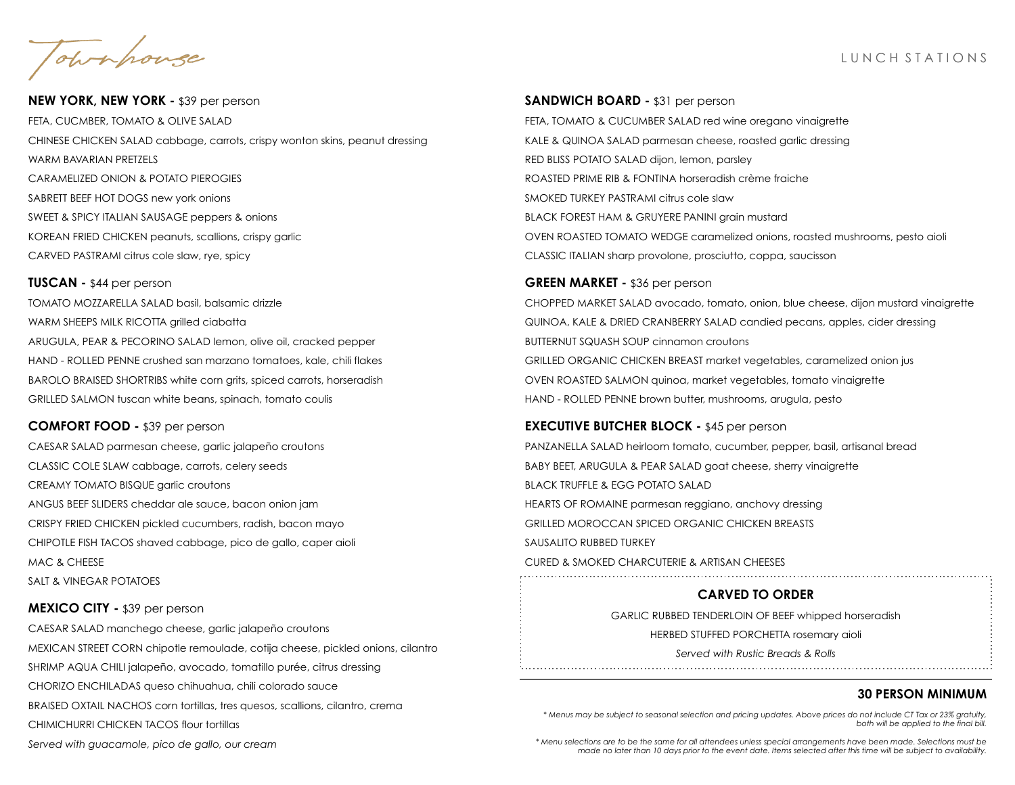L U N C H S T A T I O N S

Townhouse

**NEW YORK, NEW YORK -** \$39 per person FETA, CUCMBER, TOMATO & OLIVE SALAD CHINESE CHICKEN SALAD cabbage, carrots, crispy wonton skins, peanut dressing WARM BAVARIAN PRETZELS CARAMELIZED ONION & POTATO PIEROGIES SABRETT BEEF HOT DOGS new york onions SWEET & SPICY ITALIAN SAUSAGE peppers & onions KOREAN FRIED CHICKEN peanuts, scallions, crispy garlic CARVED PASTRAMI citrus cole slaw, rye, spicy

#### **TUSCAN -** \$44 per person

TOMATO MOZZARELLA SALAD basil, balsamic drizzle WARM SHEEPS MILK RICOTTA grilled ciabatta ARUGULA, PEAR & PECORINO SALAD lemon, olive oil, cracked pepper HAND - ROLLED PENNE crushed san marzano tomatoes, kale, chili flakes BAROLO BRAISED SHORTRIBS white corn grits, spiced carrots, horseradish GRILLED SALMON tuscan white beans, spinach, tomato coulis

# **COMFORT FOOD -** \$39 per person

CAESAR SALAD parmesan cheese, garlic jalapeño croutons CLASSIC COLE SLAW cabbage, carrots, celery seeds CREAMY TOMATO BISQUE garlic croutons ANGUS BEEF SLIDERS cheddar ale sauce, bacon onion jam CRISPY FRIED CHICKEN pickled cucumbers, radish, bacon mayo CHIPOTLE FISH TACOS shaved cabbage, pico de gallo, caper aioli MAC & CHEESE SALT & VINEGAR POTATOES

#### **MEXICO CITY -** \$39 per person

6 *Served with guacamole, pico de gallo, our cream* CAESAR SALAD manchego cheese, garlic jalapeño croutons MEXICAN STREET CORN chipotle remoulade, cotija cheese, pickled onions, cilantro SHRIMP AQUA CHILI jalapeño, avocado, tomatillo purée, citrus dressing CHORIZO ENCHILADAS queso chihuahua, chili colorado sauce BRAISED OXTAIL NACHOS corn tortillas, tres quesos, scallions, cilantro, crema CHIMICHURRI CHICKEN TACOS flour tortillas

#### **SANDWICH BOARD -** \$31 per person

FETA, TOMATO & CUCUMBER SALAD red wine oregano vinaigrette KALE & QUINOA SALAD parmesan cheese, roasted garlic dressing RED BLISS POTATO SALAD dijon, lemon, parsley ROASTED PRIME RIB & FONTINA horseradish crème fraiche SMOKED TURKEY PASTRAMI citrus cole slaw BLACK FOREST HAM & GRUYERE PANINI grain mustard OVEN ROASTED TOMATO WEDGE caramelized onions, roasted mushrooms, pesto aioli CLASSIC ITALIAN sharp provolone, prosciutto, coppa, saucisson

#### **GREEN MARKET -** \$36 per person

CHOPPED MARKET SALAD avocado, tomato, onion, blue cheese, dijon mustard vinaigrette QUINOA, KALE & DRIED CRANBERRY SALAD candied pecans, apples, cider dressing BUTTERNUT SQUASH SOUP cinnamon croutons GRILLED ORGANIC CHICKEN BREAST market vegetables, caramelized onion jus OVEN ROASTED SALMON quinoa, market vegetables, tomato vinaigrette HAND - ROLLED PENNE brown butter, mushrooms, arugula, pesto

## **EXECUTIVE BUTCHER BLOCK - \$45 per person**

PANZANELLA SALAD heirloom tomato, cucumber, pepper, basil, artisanal bread BABY BEET, ARUGULA & PEAR SALAD goat cheese, sherry vinaigrette BLACK TRUFFLE & EGG POTATO SALAD HEARTS OF ROMAINE parmesan reggiano, anchovy dressing GRILLED MOROCCAN SPICED ORGANIC CHICKEN BREASTS SAUSALITO RUBBED TURKEY CURED & SMOKED CHARCUTERIE & ARTISAN CHEESES 

# **CARVED TO ORDER**

GARLIC RUBBED TENDERLOIN OF BEEF whipped horseradish

HERBED STUFFED PORCHETTA rosemary aioli

*Served with Rustic Breads & Rolls*

# **30 PERSON MINIMUM**

*\* Menus may be subject to seasonal selection and pricing updates. Above prices do not include CT Tax or 23% gratuity, both will be applied to the final bill.*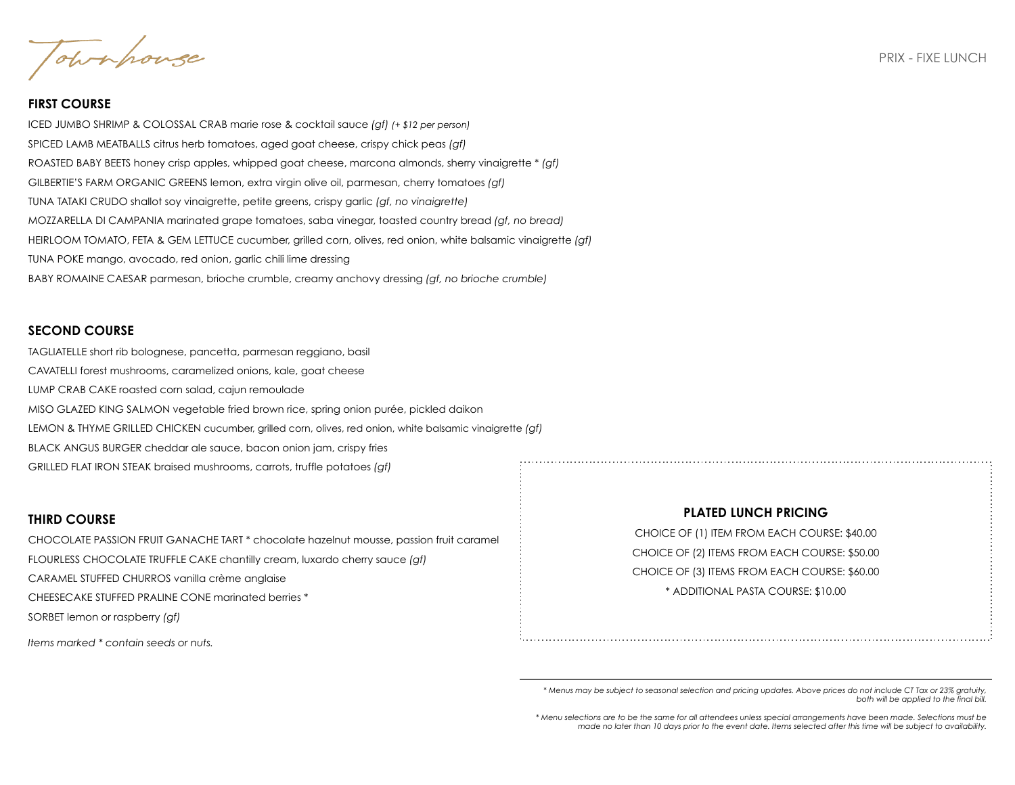Townhouse

ICED JUMBO SHRIMP & COLOSSAL CRAB marie rose & cocktail sauce *(gf) (+ \$12 per person)* SPICED LAMB MEATBALLS citrus herb tomatoes, aged goat cheese, crispy chick peas *(gf)* ROASTED BABY BEETS honey crisp apples, whipped goat cheese, marcona almonds, sherry vinaigrette \* *(gf)* GILBERTIE'S FARM ORGANIC GREENS lemon, extra virgin olive oil, parmesan, cherry tomatoes *(gf)* TUNA TATAKI CRUDO shallot soy vinaigrette, petite greens, crispy garlic *(gf, no vinaigrette)* MOZZARELLA DI CAMPANIA marinated grape tomatoes, saba vinegar, toasted country bread *(gf, no bread)* HEIRLOOM TOMATO, FETA & GEM LETTUCE cucumber, grilled corn, olives, red onion, white balsamic vinaigrette *(gf)* TUNA POKE mango, avocado, red onion, garlic chili lime dressing BABY ROMAINE CAESAR parmesan, brioche crumble, creamy anchovy dressing *(gf, no brioche crumble)*

# **SECOND COURSE**

TAGLIATELLE short rib bolognese, pancetta, parmesan reggiano, basil CAVATELLI forest mushrooms, caramelized onions, kale, goat cheese LUMP CRAB CAKE roasted corn salad, cajun remoulade MISO GLAZED KING SALMON vegetable fried brown rice, spring onion purée, pickled daikon LEMON & THYME GRILLED CHICKEN cucumber, grilled corn, olives, red onion, white balsamic vinaigrette *(gf)* BLACK ANGUS BURGER cheddar ale sauce, bacon onion jam, crispy fries GRILLED FLAT IRON STEAK braised mushrooms, carrots, truffle potatoes *(gf)*

## **THIRD COURSE**

CHOCOLATE PASSION FRUIT GANACHE TART \* chocolate hazelnut mousse, passion fruit caramel FLOURLESS CHOCOLATE TRUFFLE CAKE chantilly cream, luxardo cherry sauce *(gf)* CARAMEL STUFFED CHURROS vanilla crème anglaise CHEESECAKE STUFFED PRALINE CONE marinated berries \* SORBET lemon or raspberry *(gf)*

*Items marked \* contain seeds or nuts.*

# **PLATED LUNCH PRICING**

CHOICE OF (1) ITEM FROM EACH COURSE: \$40.00 CHOICE OF (2) ITEMS FROM EACH COURSE: \$50.00 CHOICE OF (3) ITEMS FROM EACH COURSE: \$60.00 \* ADDITIONAL PASTA COURSE: \$10.00

*<sup>\*</sup> Menus may be subject to seasonal selection and pricing updates. Above prices do not include CT Tax or 23% gratuity, both will be applied to the final bill.*

*<sup>\*</sup> Menu selections are to be the same for all attendees unless special arrangements have been made. Selections must be made no later than 10 days prior to the event date. Items selected after this time will be subject to availability.*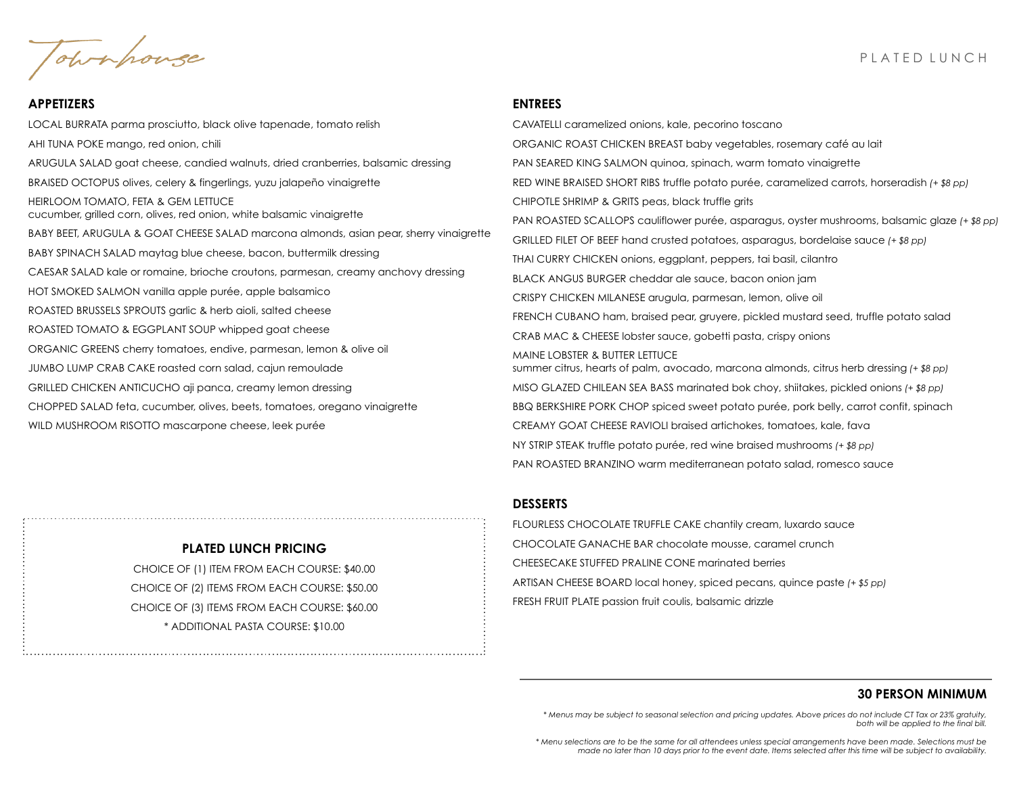Townhouse

# P L A T E D L U N C H

## **APPETIZERS**

LOCAL BURRATA parma prosciutto, black olive tapenade, tomato relish AHI TUNA POKE mango, red onion, chili ARUGULA SALAD goat cheese, candied walnuts, dried cranberries, balsamic dressing BRAISED OCTOPUS olives, celery & fingerlings, yuzu jalapeño vinaigrette HEIRLOOM TOMATO, FETA & GEM LETTUCE cucumber, grilled corn, olives, red onion, white balsamic vinaigrette BABY BEET, ARUGULA & GOAT CHEESE SALAD marcona almonds, asian pear, sherry vinaigrette BABY SPINACH SALAD maytag blue cheese, bacon, buttermilk dressing CAESAR SALAD kale or romaine, brioche croutons, parmesan, creamy anchovy dressing HOT SMOKED SALMON vanilla apple purée, apple balsamico ROASTED BRUSSELS SPROUTS garlic & herb aioli, salted cheese ROASTED TOMATO & EGGPLANT SOUP whipped goat cheese ORGANIC GREENS cherry tomatoes, endive, parmesan, lemon & olive oil JUMBO LUMP CRAB CAKE roasted corn salad, cajun remoulade GRILLED CHICKEN ANTICUCHO aji panca, creamy lemon dressing CHOPPED SALAD feta, cucumber, olives, beets, tomatoes, oregano vinaigrette WILD MUSHROOM RISOTTO mascarpone cheese, leek purée

# **ENTREES**

CAVATELLI caramelized onions, kale, pecorino toscano ORGANIC ROAST CHICKEN BREAST baby vegetables, rosemary café au lait PAN SEARED KING SALMON quinoa, spinach, warm tomato vinaigrette RED WINE BRAISED SHORT RIBS truffle potato purée, caramelized carrots, horseradish *(+ \$8 pp)* CHIPOTLE SHRIMP & GRITS peas, black truffle grits PAN ROASTED SCALLOPS cauliflower purée, asparagus, oyster mushrooms, balsamic glaze *(+ \$8 pp)* GRILLED FILET OF BEEF hand crusted potatoes, asparagus, bordelaise sauce *(+ \$8 pp)* THAI CURRY CHICKEN onions, eggplant, peppers, tai basil, cilantro BLACK ANGUS BURGER cheddar ale sauce, bacon onion jam CRISPY CHICKEN MILANESE arugula, parmesan, lemon, olive oil FRENCH CUBANO ham, braised pear, gruyere, pickled mustard seed, truffle potato salad CRAB MAC & CHEESE lobster sauce, gobetti pasta, crispy onions MAINE LOBSTER & BUTTER LETTUCE summer citrus, hearts of palm, avocado, marcona almonds, citrus herb dressing *(+ \$8 pp)* MISO GLAZED CHILEAN SEA BASS marinated bok choy, shiitakes, pickled onions *(+ \$8 pp)* BBQ BERKSHIRE PORK CHOP spiced sweet potato purée, pork belly, carrot confit, spinach CREAMY GOAT CHEESE RAVIOLI braised artichokes, tomatoes, kale, fava NY STRIP STEAK truffle potato purée, red wine braised mushrooms *(+ \$8 pp)* PAN ROASTED BRANZINO warm mediterranean potato salad, romesco sauce

# **DESSERTS**

FLOURLESS CHOCOLATE TRUFFLE CAKE chantily cream, luxardo sauce CHOCOLATE GANACHE BAR chocolate mousse, caramel crunch CHEESECAKE STUFFED PRALINE CONE marinated berries ARTISAN CHEESE BOARD local honey, spiced pecans, quince paste *(+ \$5 pp)* FRESH FRUIT PLATE passion fruit coulis, balsamic drizzle

# **30 PERSON MINIMUM**

*\* Menus may be subject to seasonal selection and pricing updates. Above prices do not include CT Tax or 23% gratuity, both will be applied to the final bill.*

*\* Menu selections are to be the same for all attendees unless special arrangements have been made. Selections must be made no later than 10 days prior to the event date. Items selected after this time will be subject to availability.* 

# **PLATED LUNCH PRICING**

CHOICE OF (1) ITEM FROM EACH COURSE: \$40.00 CHOICE OF (2) ITEMS FROM EACH COURSE: \$50.00 CHOICE OF (3) ITEMS FROM EACH COURSE: \$60.00 \* ADDITIONAL PASTA COURSE: \$10.00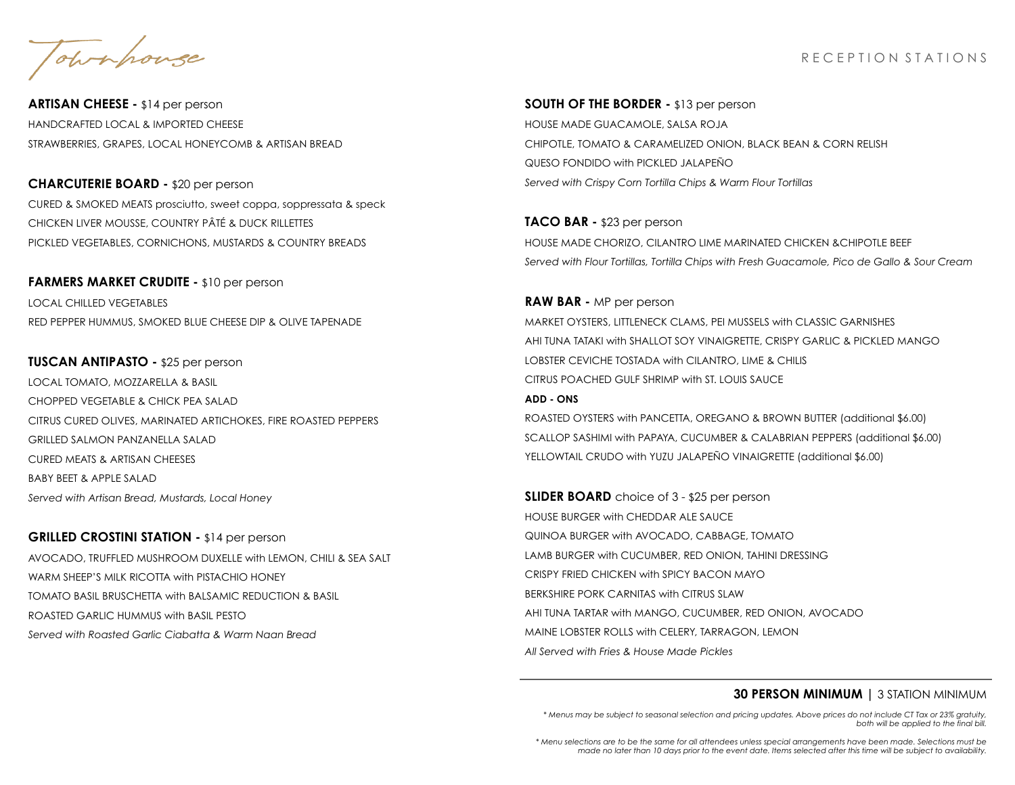# R E C E P T I O N S T A T I O N S

Townhouse

**ARTISAN CHEESE -** \$14 per person HANDCRAFTED LOCAL & IMPORTED CHEESE STRAWBERRIES, GRAPES, LOCAL HONEYCOMB & ARTISAN BREAD

**CHARCUTERIE BOARD -** \$20 per person CURED & SMOKED MEATS prosciutto, sweet coppa, soppressata & speck CHICKEN LIVER MOUSSE, COUNTRY PÂTÉ & DUCK RILLETTES PICKLED VEGETABLES, CORNICHONS, MUSTARDS & COUNTRY BREADS

**FARMERS MARKET CRUDITE -** \$10 per person LOCAL CHILLED VEGETABLES RED PEPPER HUMMUS, SMOKED BLUE CHEESE DIP & OLIVE TAPENADE

**TUSCAN ANTIPASTO -** \$25 per person LOCAL TOMATO, MOZZARELLA & BASIL CHOPPED VEGETABLE & CHICK PEA SALAD CITRUS CURED OLIVES, MARINATED ARTICHOKES, FIRE ROASTED PEPPERS GRILLED SALMON PANZANELLA SALAD CURED MEATS & ARTISAN CHEESES BABY BEET & APPLE SALAD *Served with Artisan Bread, Mustards, Local Honey*

### **GRILLED CROSTINI STATION -** \$14 per person

AVOCADO, TRUFFLED MUSHROOM DUXELLE with LEMON, CHILI & SEA SALT WARM SHEEP'S MILK RICOTTA with PISTACHIO HONEY TOMATO BASIL BRUSCHETTA with BALSAMIC REDUCTION & BASIL ROASTED GARLIC HUMMUS with BASIL PESTO *Served with Roasted Garlic Ciabatta & Warm Naan Bread*

**SOUTH OF THE BORDER -** \$13 per person HOUSE MADE GUACAMOLE, SALSA ROJA CHIPOTLE, TOMATO & CARAMELIZED ONION, BLACK BEAN & CORN RELISH QUESO FONDIDO with PICKLED JALAPEÑO *Served with Crispy Corn Tortilla Chips & Warm Flour Tortillas*

**TACO BAR -** \$23 per person HOUSE MADE CHORIZO, CILANTRO LIME MARINATED CHICKEN &CHIPOTLE BEEF *Served with Flour Tortillas, Tortilla Chips with Fresh Guacamole, Pico de Gallo & Sour Cream*

**RAW BAR -** MP per person MARKET OYSTERS, LITTLENECK CLAMS, PEI MUSSELS with CLASSIC GARNISHES AHI TUNA TATAKI with SHALLOT SOY VINAIGRETTE, CRISPY GARLIC & PICKLED MANGO LOBSTER CEVICHE TOSTADA with CILANTRO, LIME & CHILIS CITRUS POACHED GULF SHRIMP with ST. LOUIS SAUCE **ADD - ONS**

ROASTED OYSTERS with PANCETTA, OREGANO & BROWN BUTTER (additional \$6.00) SCALLOP SASHIMI with PAPAYA, CUCUMBER & CALABRIAN PEPPERS (additional \$6.00) YELLOWTAIL CRUDO with YUZU JALAPEÑO VINAIGRETTE (additional \$6.00)

**SLIDER BOARD** choice of 3 - \$25 per person HOUSE BURGER with CHEDDAR ALE SAUCE QUINOA BURGER with AVOCADO, CABBAGE, TOMATO LAMB BURGER with CUCUMBER, RED ONION, TAHINI DRESSING CRISPY FRIED CHICKEN with SPICY BACON MAYO BERKSHIRE PORK CARNITAS with CITRUS SLAW AHI TUNA TARTAR with MANGO, CUCUMBER, RED ONION, AVOCADO MAINE LOBSTER ROLLS with CELERY, TARRAGON, LEMON *All Served with Fries & House Made Pickles*

#### **30 PERSON MINIMUM |** 3 STATION MINIMUM

*\* Menus may be subject to seasonal selection and pricing updates. Above prices do not include CT Tax or 23% gratuity, both will be applied to the final bill.*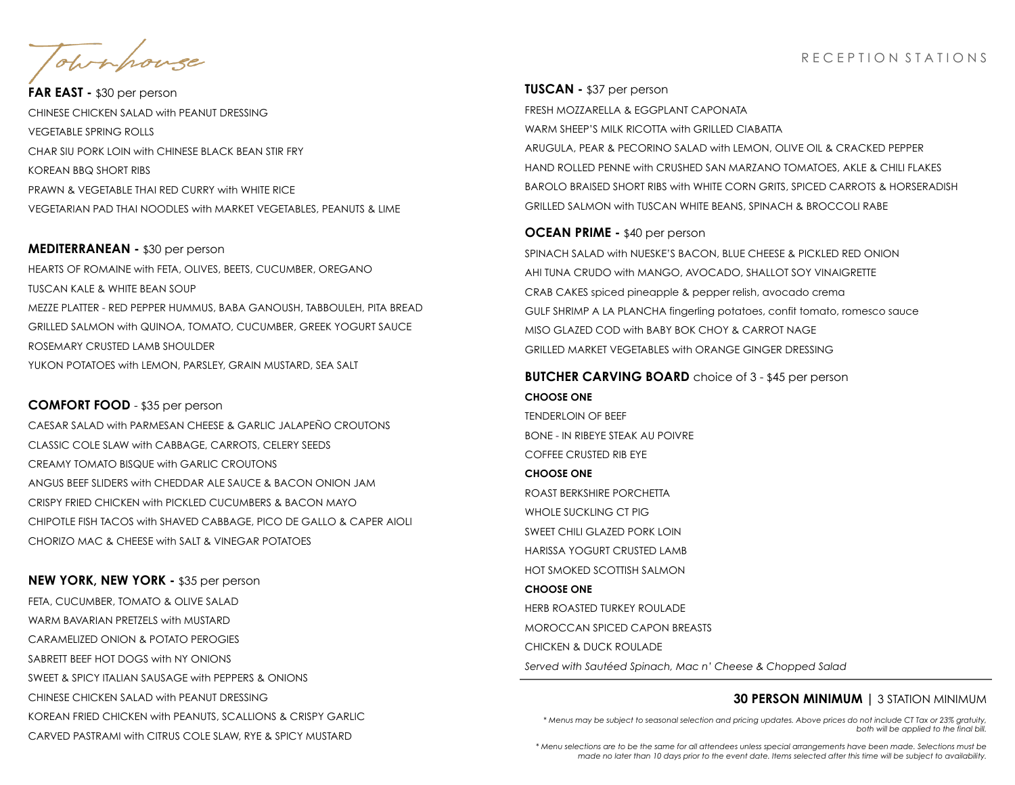# R E C E P T I O N S T A T I O N S

Townpouse

**FAR EAST -** \$30 per person CHINESE CHICKEN SALAD with PEANUT DRESSING VEGETABLE SPRING ROLLS CHAR SIU PORK LOIN with CHINESE BLACK BEAN STIR FRY KOREAN BBQ SHORT RIBS PRAWN & VEGETABLE THAI RED CURRY with WHITE RICE VEGETARIAN PAD THAI NOODLES with MARKET VEGETABLES, PEANUTS & LIME

**MEDITERRANEAN -** \$30 per person HEARTS OF ROMAINE with FETA, OLIVES, BEETS, CUCUMBER, OREGANO TUSCAN KALE & WHITE BEAN SOUP MEZZE PLATTER - RED PEPPER HUMMUS, BABA GANOUSH, TABBOULEH, PITA BREAD GRILLED SALMON with QUINOA, TOMATO, CUCUMBER, GREEK YOGURT SAUCE ROSEMARY CRUSTED LAMB SHOULDER YUKON POTATOES with LEMON, PARSLEY, GRAIN MUSTARD, SEA SALT

# **COMFORT FOOD** - \$35 per person

CAESAR SALAD with PARMESAN CHEESE & GARLIC JALAPEÑO CROUTONS CLASSIC COLE SLAW with CABBAGE, CARROTS, CELERY SEEDS CREAMY TOMATO BISQUE with GARLIC CROUTONS ANGUS BEEF SLIDERS with CHEDDAR ALE SAUCE & BACON ONION JAM CRISPY FRIED CHICKEN with PICKLED CUCUMBERS & BACON MAYO CHIPOTLE FISH TACOS with SHAVED CABBAGE, PICO DE GALLO & CAPER AIOLI CHORIZO MAC & CHEESE with SALT & VINEGAR POTATOES

**NEW YORK, NEW YORK -** \$35 per person FETA, CUCUMBER, TOMATO & OLIVE SALAD WARM BAVARIAN PRETZELS with MUSTARD CARAMELIZED ONION & POTATO PEROGIES SABRETT BEEF HOT DOGS with NY ONIONS SWEET & SPICY ITALIAN SAUSAGE with PEPPERS & ONIONS CHINESE CHICKEN SALAD with PEANUT DRESSING KOREAN FRIED CHICKEN with PEANUTS, SCALLIONS & CRISPY GARLIC CARVED PASTRAMI with CITRUS COLE SLAW, RYE & SPICY MUSTARD

#### **TUSCAN -** \$37 per person

FRESH MOZZARELLA & EGGPLANT CAPONATA WARM SHEEP'S MILK RICOTTA with GRILLED CIABATTA ARUGULA, PEAR & PECORINO SALAD with LEMON, OLIVE OIL & CRACKED PEPPER HAND ROLLED PENNE with CRUSHED SAN MARZANO TOMATOES, AKLE & CHILI FLAKES BAROLO BRAISED SHORT RIBS with WHITE CORN GRITS, SPICED CARROTS & HORSERADISH GRILLED SALMON with TUSCAN WHITE BEANS, SPINACH & BROCCOLI RABE

#### **OCEAN PRIME -** \$40 per person

SPINACH SALAD with NUESKE'S BACON, BLUE CHEESE & PICKLED RED ONION AHI TUNA CRUDO with MANGO, AVOCADO, SHALLOT SOY VINAIGRETTE CRAB CAKES spiced pineapple & pepper relish, avocado crema GULF SHRIMP A LA PLANCHA fingerling potatoes, confit tomato, romesco sauce MISO GLAZED COD with BABY BOK CHOY & CARROT NAGE GRILLED MARKET VEGETABLES with ORANGE GINGER DRESSING

#### **BUTCHER CARVING BOARD** choice of 3 - \$45 per person

#### **CHOOSE ONE**

TENDERLOIN OF BEEF BONE - IN RIBEYE STEAK AU POIVRE COFFEE CRUSTED RIB EYE **CHOOSE ONE** ROAST BERKSHIRE PORCHETTA WHOLE SUCKLING CT PIG SWEET CHILLGLAZED PORK LOIN HARISSA YOGURT CRUSTED LAMB HOT SMOKED SCOTTISH SALMON **CHOOSE ONE** HERB ROASTED TURKEY ROULADE MOROCCAN SPICED CAPON BREASTS CHICKEN & DUCK ROULADE *Served with Sautéed Spinach, Mac n' Cheese & Chopped Salad*

## **30 PERSON MINIMUM |** 3 STATION MINIMUM

*\* Menus may be subject to seasonal selection and pricing updates. Above prices do not include CT Tax or 23% gratuity, both will be applied to the final bill.*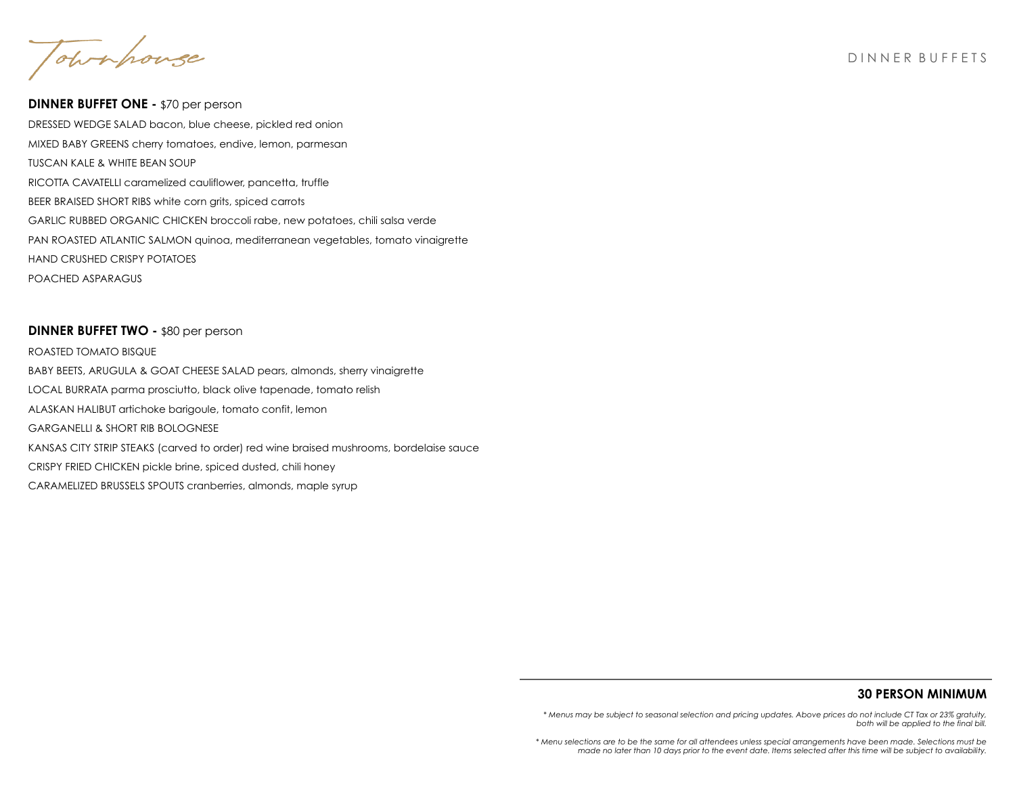Townhouse

**DINNER BUFFET ONE -** \$70 per person DRESSED WEDGE SALAD bacon, blue cheese, pickled red onion MIXED BABY GREENS cherry tomatoes, endive, lemon, parmesan TUSCAN KALE & WHITE BEAN SOUP RICOTTA CAVATELLI caramelized cauliflower, pancetta, truffle BEER BRAISED SHORT RIBS white corn grits, spiced carrots GARLIC RUBBED ORGANIC CHICKEN broccoli rabe, new potatoes, chili salsa verde PAN ROASTED ATLANTIC SALMON quinoa, mediterranean vegetables, tomato vinaigrette HAND CRUSHED CRISPY POTATOES POACHED ASPARAGUS

## **DINNER BUFFET TWO - \$80 per person**

ROASTED TOMATO BISQUE BABY BEETS, ARUGULA & GOAT CHEESE SALAD pears, almonds, sherry vinaigrette LOCAL BURRATA parma prosciutto, black olive tapenade, tomato relish ALASKAN HALIBUT artichoke barigoule, tomato confit, lemon GARGANELLI & SHORT RIB BOLOGNESE KANSAS CITY STRIP STEAKS (carved to order) red wine braised mushrooms, bordelaise sauce CRISPY FRIED CHICKEN pickle brine, spiced dusted, chili honey CARAMELIZED BRUSSELS SPOUTS cranberries, almonds, maple syrup

## **30 PERSON MINIMUM**

*<sup>\*</sup> Menus may be subject to seasonal selection and pricing updates. Above prices do not include CT Tax or 23% gratuity, both will be applied to the final bill.*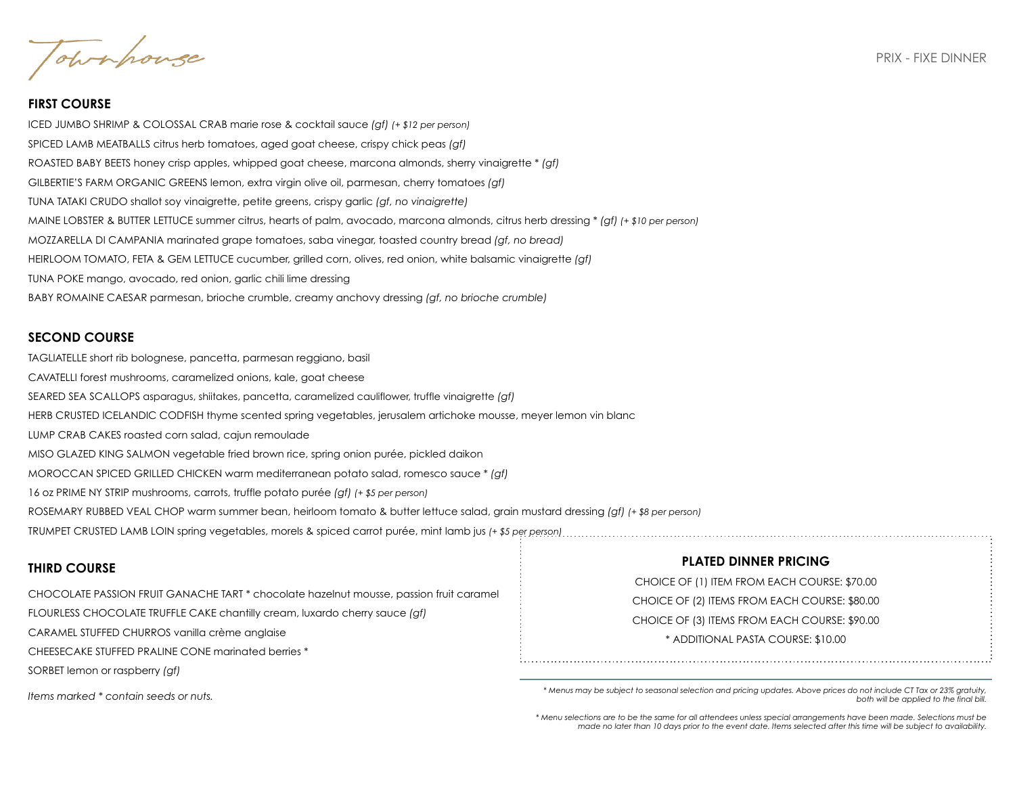Townhouse

# **FIRST COURSE**

ICED JUMBO SHRIMP & COLOSSAL CRAB marie rose & cocktail sauce *(gf) (+ \$12 per person)* SPICED LAMB MEATBALLS citrus herb tomatoes, aged goat cheese, crispy chick peas *(gf)* ROASTED BABY BEETS honey crisp apples, whipped goat cheese, marcona almonds, sherry vinaigrette \* *(gf)* GILBERTIE'S FARM ORGANIC GREENS lemon, extra virgin olive oil, parmesan, cherry tomatoes *(gf)* TUNA TATAKI CRUDO shallot soy vinaigrette, petite greens, crispy garlic *(gf, no vinaigrette)* MAINE LOBSTER & BUTTER LETTUCE summer citrus, hearts of palm, avocado, marcona almonds, citrus herb dressing \* *(gf) (+ \$10 per person)* MOZZARELLA DI CAMPANIA marinated grape tomatoes, saba vinegar, toasted country bread *(gf, no bread)* HEIRLOOM TOMATO, FETA & GEM LETTUCE cucumber, grilled corn, olives, red onion, white balsamic vinaigrette *(gf)* TUNA POKE mango, avocado, red onion, garlic chili lime dressing BABY ROMAINE CAESAR parmesan, brioche crumble, creamy anchovy dressing *(gf, no brioche crumble)*

#### **SECOND COURSE**

TAGLIATELLE short rib bolognese, pancetta, parmesan reggiano, basil CAVATELLI forest mushrooms, caramelized onions, kale, goat cheese SEARED SEA SCALLOPS asparagus, shiitakes, pancetta, caramelized cauliflower, truffle vinaigrette *(gf)* HERB CRUSTED ICELANDIC CODFISH thyme scented spring vegetables, jerusalem artichoke mousse, meyer lemon vin blanc LUMP CRAB CAKES roasted corn salad, cajun remoulade MISO GLAZED KING SALMON vegetable fried brown rice, spring onion purée, pickled daikon MOROCCAN SPICED GRILLED CHICKEN warm mediterranean potato salad, romesco sauce \* *(gf)* 16 oz PRIME NY STRIP mushrooms, carrots, truffle potato purée *(gf) (+ \$5 per person)* ROSEMARY RUBBED VEAL CHOP warm summer bean, heirloom tomato & butter lettuce salad, grain mustard dressing *(gf) (+ \$8 per person)* TRUMPET CRUSTED LAMB LOIN spring vegetables, morels & spiced carrot purée, mint lamb jus *(+ \$5 per person)*

#### **THIRD COURSE**

CHOCOLATE PASSION FRUIT GANACHE TART \* chocolate hazelnut mousse, passion fruit caramel

FLOURLESS CHOCOLATE TRUFFLE CAKE chantilly cream, luxardo cherry sauce *(gf)*

CARAMEL STUFFED CHURROS vanilla crème anglaise

CHEESECAKE STUFFED PRALINE CONE marinated berries \*

SORBET lemon or raspberry *(gf)*

*Items marked \* contain seeds or nuts.*

# **PLATED DINNER PRICING**

CHOICE OF (1) ITEM FROM EACH COURSE: \$70.00 CHOICE OF (2) ITEMS FROM EACH COURSE: \$80.00

CHOICE OF (3) ITEMS FROM EACH COURSE: \$90.00

\* ADDITIONAL PASTA COURSE: \$10.00

*\* Menus may be subject to seasonal selection and pricing updates. Above prices do not include CT Tax or 23% gratuity, both will be applied to the final bill.*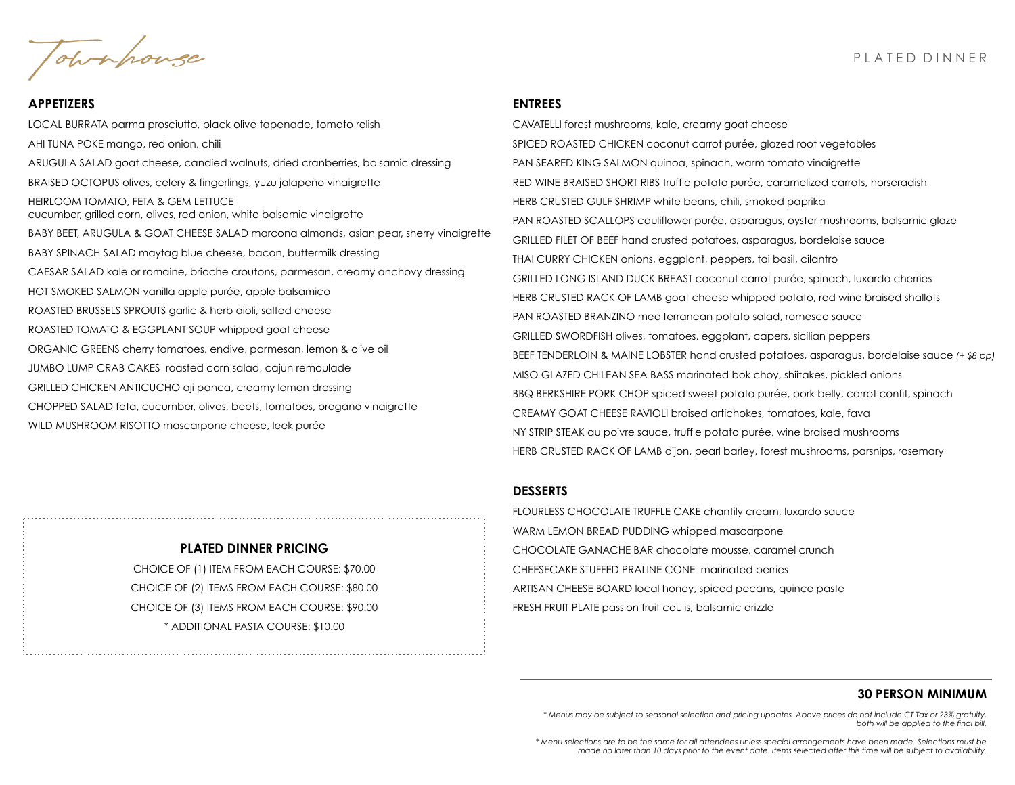Townhouse

# P LA T E D D I N N F R

## **APPETIZERS**

LOCAL BURRATA parma prosciutto, black olive tapenade, tomato relish AHI TUNA POKE mango, red onion, chili ARUGULA SALAD goat cheese, candied walnuts, dried cranberries, balsamic dressing BRAISED OCTOPUS olives, celery & fingerlings, yuzu jalapeño vinaigrette HEIRLOOM TOMATO, FETA & GEM LETTUCE cucumber, grilled corn, olives, red onion, white balsamic vinaigrette BABY BEET, ARUGULA & GOAT CHEESE SALAD marcona almonds, asian pear, sherry vinaigrette BABY SPINACH SALAD maytag blue cheese, bacon, buttermilk dressing CAESAR SALAD kale or romaine, brioche croutons, parmesan, creamy anchovy dressing HOT SMOKED SALMON vanilla apple purée, apple balsamico ROASTED BRUSSELS SPROUTS garlic & herb aioli, salted cheese ROASTED TOMATO & EGGPLANT SOUP whipped goat cheese ORGANIC GREENS cherry tomatoes, endive, parmesan, lemon & olive oil JUMBO LUMP CRAB CAKES roasted corn salad, cajun remoulade GRILLED CHICKEN ANTICUCHO aji panca, creamy lemon dressing CHOPPED SALAD feta, cucumber, olives, beets, tomatoes, oregano vinaigrette WILD MUSHROOM RISOTTO mascarpone cheese, leek purée

# **PLATED DINNER PRICING**

CHOICE OF (1) ITEM FROM EACH COURSE: \$70.00 CHOICE OF (2) ITEMS FROM EACH COURSE: \$80.00 CHOICE OF (3) ITEMS FROM EACH COURSE: \$90.00 \* ADDITIONAL PASTA COURSE: \$10.00

# **ENTREES**

CAVATELLI forest mushrooms, kale, creamy goat cheese SPICED ROASTED CHICKEN coconut carrot purée, glazed root vegetables PAN SEARED KING SALMON quinoa, spinach, warm tomato vinaigrette RED WINE BRAISED SHORT RIBS truffle potato purée, caramelized carrots, horseradish HERB CRUSTED GULF SHRIMP white beans, chili, smoked paprika PAN ROASTED SCALLOPS cauliflower purée, asparagus, oyster mushrooms, balsamic glaze GRILLED FILET OF BEEF hand crusted potatoes, asparagus, bordelaise sauce THAI CURRY CHICKEN onions, eggplant, peppers, tai basil, cilantro GRILLED LONG ISLAND DUCK BREAST coconut carrot purée, spinach, luxardo cherries HERB CRUSTED RACK OF LAMB goat cheese whipped potato, red wine braised shallots PAN ROASTED BRANZINO mediterranean potato salad, romesco sauce GRILLED SWORDFISH olives, tomatoes, eggplant, capers, sicilian peppers BEEF TENDERLOIN & MAINE LOBSTER hand crusted potatoes, asparagus, bordelaise sauce *(+ \$8 pp)* MISO GLAZED CHILEAN SEA BASS marinated bok choy, shiitakes, pickled onions BBQ BERKSHIRE PORK CHOP spiced sweet potato purée, pork belly, carrot confit, spinach CREAMY GOAT CHEESE RAVIOLI braised artichokes, tomatoes, kale, fava NY STRIP STEAK au poivre sauce, truffle potato purée, wine braised mushrooms HERB CRUSTED RACK OF LAMB dijon, pearl barley, forest mushrooms, parsnips, rosemary

# **DESSERTS**

FLOURLESS CHOCOLATE TRUFFLE CAKE chantily cream, luxardo sauce WARM LEMON BREAD PUDDING whipped mascarpone CHOCOLATE GANACHE BAR chocolate mousse, caramel crunch CHEESECAKE STUFFED PRALINE CONE marinated berries ARTISAN CHEESE BOARD local honey, spiced pecans, quince paste FRESH FRUIT PLATE passion fruit coulis, balsamic drizzle

## **30 PERSON MINIMUM**

*\* Menus may be subject to seasonal selection and pricing updates. Above prices do not include CT Tax or 23% gratuity, both will be applied to the final bill.*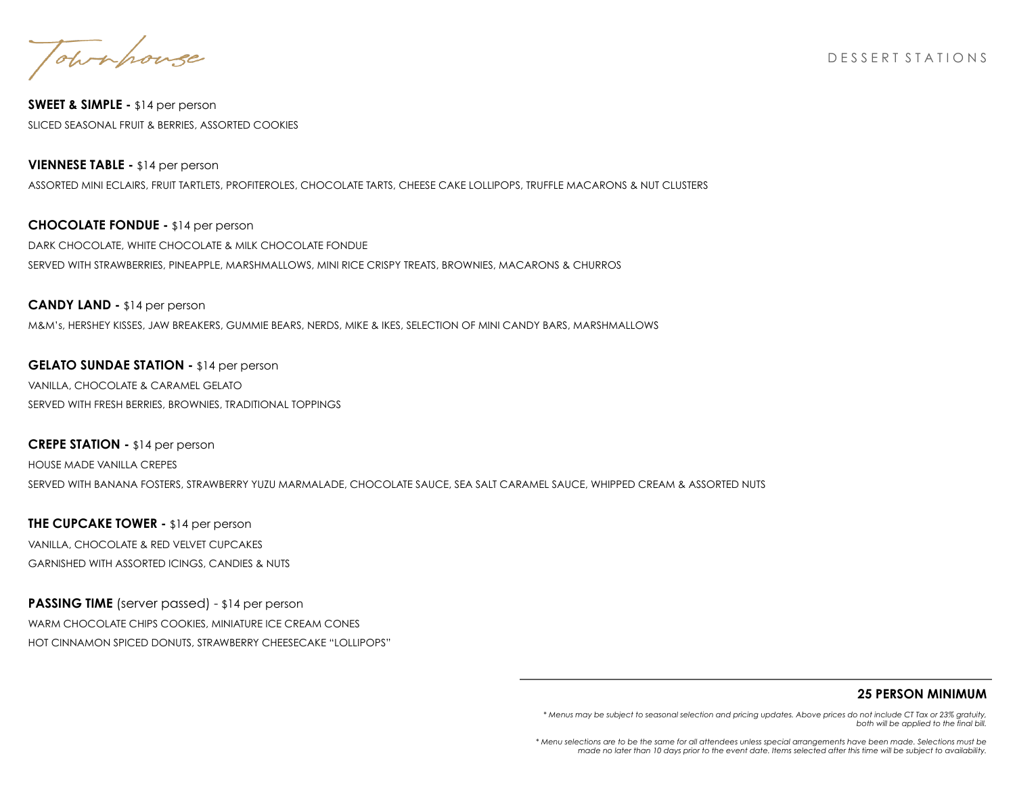Townhouse

D E S S E R T S T A T I O N S

**SWEET & SIMPLE -** \$14 per person SLICED SEASONAL FRUIT & BERRIES, ASSORTED COOKIES

**VIENNESE TABLE -** \$14 per person ASSORTED MINI ECLAIRS, FRUIT TARTLETS, PROFITEROLES, CHOCOLATE TARTS, CHEESE CAKE LOLLIPOPS, TRUFFLE MACARONS & NUT CLUSTERS

**CHOCOLATE FONDUE -** \$14 per person DARK CHOCOLATE, WHITE CHOCOLATE & MILK CHOCOLATE FONDUE SERVED WITH STRAWBERRIES, PINEAPPLE, MARSHMALLOWS, MINI RICE CRISPY TREATS, BROWNIES, MACARONS & CHURROS

**CANDY LAND -** \$14 per person M&M's, HERSHEY KISSES, JAW BREAKERS, GUMMIE BEARS, NERDS, MIKE & IKES, SELECTION OF MINI CANDY BARS, MARSHMALLOWS

**GELATO SUNDAE STATION -** \$14 per person VANILLA, CHOCOLATE & CARAMEL GELATO SERVED WITH FRESH BERRIES, BROWNIES, TRADITIONAL TOPPINGS

**CREPE STATION -** \$14 per person HOUSE MADE VANILLA CREPES SERVED WITH BANANA FOSTERS, STRAWBERRY YUZU MARMALADE, CHOCOLATE SAUCE, SEA SALT CARAMEL SAUCE, WHIPPED CREAM & ASSORTED NUTS

**THE CUPCAKE TOWER -** \$14 per person VANILLA, CHOCOLATE & RED VELVET CUPCAKES GARNISHED WITH ASSORTED ICINGS, CANDIES & NUTS

**PASSING TIME** (server passed) - \$14 per person WARM CHOCOLATE CHIPS COOKIES, MINIATURE ICE CREAM CONES HOT CINNAMON SPICED DONUTS, STRAWBERRY CHEESECAKE "LOLLIPOPS"

# **25 PERSON MINIMUM**

*\* Menus may be subject to seasonal selection and pricing updates. Above prices do not include CT Tax or 23% gratuity, both will be applied to the final bill.*